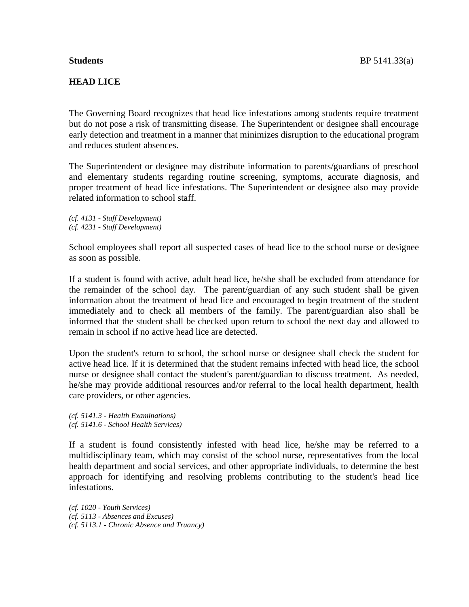## **HEAD LICE**

The Governing Board recognizes that head lice infestations among students require treatment but do not pose a risk of transmitting disease. The Superintendent or designee shall encourage early detection and treatment in a manner that minimizes disruption to the educational program and reduces student absences.

The Superintendent or designee may distribute information to parents/guardians of preschool and elementary students regarding routine screening, symptoms, accurate diagnosis, and proper treatment of head lice infestations. The Superintendent or designee also may provide related information to school staff.

*(cf. 4131 - Staff Development) (cf. 4231 - Staff Development)*

School employees shall report all suspected cases of head lice to the school nurse or designee as soon as possible.

If a student is found with active, adult head lice, he/she shall be excluded from attendance for the remainder of the school day. The parent/guardian of any such student shall be given information about the treatment of head lice and encouraged to begin treatment of the student immediately and to check all members of the family. The parent/guardian also shall be informed that the student shall be checked upon return to school the next day and allowed to remain in school if no active head lice are detected.

Upon the student's return to school, the school nurse or designee shall check the student for active head lice. If it is determined that the student remains infected with head lice, the school nurse or designee shall contact the student's parent/guardian to discuss treatment. As needed, he/she may provide additional resources and/or referral to the local health department, health care providers, or other agencies.

*(cf. 5141.3 - Health Examinations) (cf. 5141.6 - School Health Services)*

If a student is found consistently infested with head lice, he/she may be referred to a multidisciplinary team, which may consist of the school nurse, representatives from the local health department and social services, and other appropriate individuals, to determine the best approach for identifying and resolving problems contributing to the student's head lice infestations.

*(cf. 1020 - Youth Services) (cf. 5113 - Absences and Excuses) (cf. 5113.1 - Chronic Absence and Truancy)*